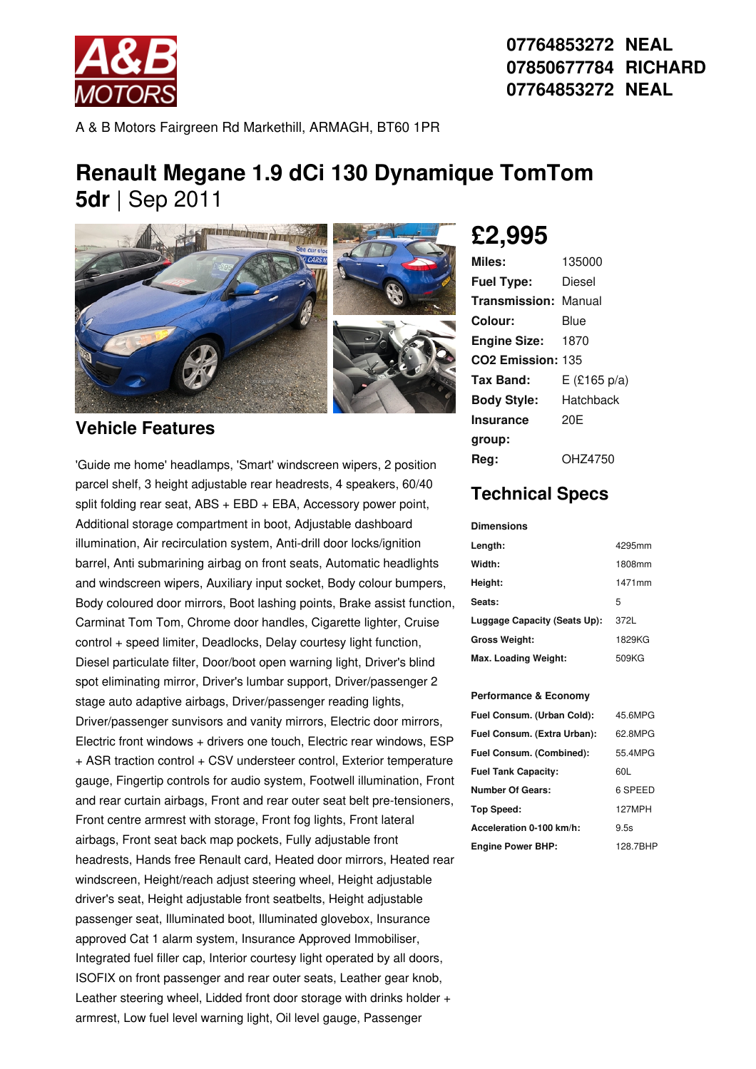

**07764853272 NEAL 07850677784 RICHARD 07764853272 NEAL**

A & B Motors Fairgreen Rd Markethill, ARMAGH, BT60 1PR

## **Renault Megane 1.9 dCi 130 Dynamique TomTom 5dr** |Sep 2011



### **Vehicle Features**

'Guide me home' headlamps, 'Smart' windscreen wipers, 2 position parcel shelf, 3 height adjustable rear headrests, 4 speakers, 60/40 split folding rear seat, ABS + EBD + EBA, Accessory power point, Additional storage compartment in boot, Adjustable dashboard illumination, Air recirculation system, Anti-drill door locks/ignition barrel, Anti submarining airbag on front seats, Automatic headlights and windscreen wipers, Auxiliary input socket, Body colour bumpers, Body coloured door mirrors, Boot lashing points, Brake assist function, Carminat Tom Tom, Chrome door handles, Cigarette lighter, Cruise control + speed limiter, Deadlocks, Delay courtesy light function, Diesel particulate filter, Door/boot open warning light, Driver's blind spot eliminating mirror, Driver's lumbar support, Driver/passenger 2 stage auto adaptive airbags, Driver/passenger reading lights, Driver/passenger sunvisors and vanity mirrors, Electric door mirrors, Electric front windows + drivers one touch, Electric rear windows, ESP + ASR traction control + CSV understeer control, Exterior temperature gauge, Fingertip controls for audio system, Footwell illumination, Front and rear curtain airbags, Front and rear outer seat belt pre-tensioners, Front centre armrest with storage, Front fog lights, Front lateral airbags, Front seat back map pockets, Fully adjustable front headrests, Hands free Renault card, Heated door mirrors, Heated rear windscreen, Height/reach adjust steering wheel, Height adjustable driver's seat, Height adjustable front seatbelts, Height adjustable passenger seat, Illuminated boot, Illuminated glovebox, Insurance approved Cat 1 alarm system, Insurance Approved Immobiliser, Integrated fuel filler cap, Interior courtesy light operated by all doors, ISOFIX on front passenger and rear outer seats, Leather gear knob, Leather steering wheel, Lidded front door storage with drinks holder + armrest, Low fuel level warning light, Oil level gauge, Passenger

# **£2,995**

| Miles:                        | 135000         |
|-------------------------------|----------------|
| <b>Fuel Type:</b>             | Diesel         |
| <b>Transmission: Manual</b>   |                |
| Colour:                       | Blue           |
| <b>Engine Size:</b>           | 1870           |
| CO <sub>2</sub> Emission: 135 |                |
| Tax Band:                     | $E$ (£165 p/a) |
| <b>Body Style:</b>            | Hatchback      |
| <b>Insurance</b>              | 20E            |
| group:                        |                |
| Rea:                          | OHZ4750        |

### **Technical Specs**

#### **Dimensions**

| Length:                      | 4295mm |
|------------------------------|--------|
| Width:                       | 1808mm |
| Height:                      | 1471mm |
| Seats:                       | 5      |
| Luggage Capacity (Seats Up): | 372L   |
| <b>Gross Weight:</b>         | 1829KG |
| Max. Loading Weight:         | 509KG  |

#### **Performance & Economy**

| Fuel Consum. (Urban Cold):  | 45.6MPG  |
|-----------------------------|----------|
| Fuel Consum. (Extra Urban): | 62.8MPG  |
| Fuel Consum. (Combined):    | 55 4MPG  |
| <b>Fuel Tank Capacity:</b>  | 60L      |
| Number Of Gears:            | 6 SPEED  |
| Top Speed:                  | 127MPH   |
| Acceleration 0-100 km/h:    | 9.5s     |
| <b>Engine Power BHP:</b>    | 128.7BHP |